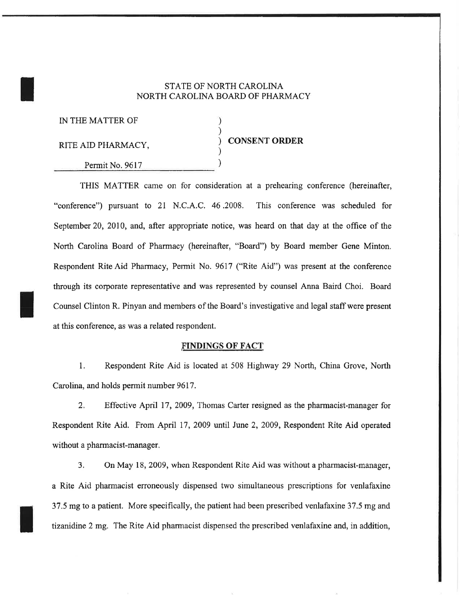## STATE OF NORTH CAROLINA NORTH CAROLINA BOARD OF PHARMACY

| IN THE MATTER OF   |                      |
|--------------------|----------------------|
| RITE AID PHARMACY, | <b>CONSENT ORDER</b> |
| Permit No. 9617    |                      |

THIS MATTER came on for consideration at a prehearing conference (hereinafter, "conference") pursuant to 2L N.C.A,C. 46 .2008. This conference was scheduled for September 20, 2010, and, after appropriate notice, was heard on that day at the office of the North Carolina Board of Pharmacy (hereinafter, "Board") by Board member Gene Minton. Respondent Rite Aid Pharmacy, Permit No. 9617 ("Rite Aid") was present at the conference through its corporate representative and was represented by counsel Anna Baird Choi. Board Counsel Clinton R. Pinyan and members of the Board's investigative and legal staff were present at this confetence, as was a related respondent.

## FINDINGS OF FACT

1. Respondent Rite Aid is located at 508 Highway 29 North, China Grove, North Carolina, and holds permit number 9617.

2. Effective April 17, 2009, Thomas Carter resigned as the pharmacist-manager for Respondent Rite Aid. From April 17, 2009 until June 2, 2009, Respondent Rite Aid operated without a pharmacist-manager.

3. On May 18, 2009, when Respondent Rite Aid was without a pharmacist-manager, a Rite Aid pharmacist erroneously dispensed two simultaneous prescriptions for venlafaxine 37.5 mg to a patient. More specifically, the patient had been prescribed venlafaxine 37.5 mg and tizanidine 2 mg. The Rite Aid pharmacist dispensed the prescribed venlafaxine and, in addition,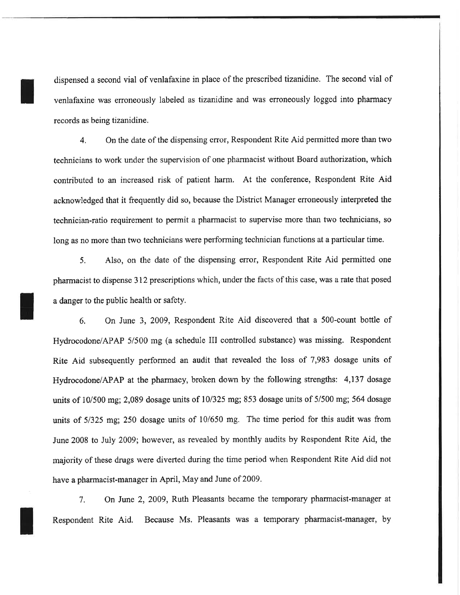dispensed a second vial of venlafaxine in place of the prescribed tizanidine. The second vial of venlafaxine was erroneously labeled as tizanidine and was erroneously logged into pharmacy records as being tizanidine.

4. On the date of the dispensing error, Respondent Rite Aid permitted more than two technicians to work under the supervision of one pharmacist without Board authorization, which contributed to an increased risk of patient harm. At the conference, Respondent Rite Aid acknowledged that it frequently did so, because the District Manager erroneously interpreted the technician-ratio requirement to permit a pharmacist to supervise more than two technicians, so long as no more than two technicians were performing technician functions at a particular time.

5, Also, on the date of the dispensing eror, Respondent Rite Aid permitted one pharmacist to dispense 312 prescriptions which, under the facts of this case, was a rate that posed a danger to the public health or safety.

6, On June 3, 2009, Respondent Rite Aid discovered that a 500-count bottle of Hydrocodone/APAP 5/500 mg (a schedule III controlled substance) was missing. Respondent Rite Aid subsequently performed an audit that revealed the loss of 7,983 dosage units of Hydrocodone/APAP at the pharmacy, broken down by the following strengths: 4,137 dosage units of  $10/500$  mg; 2,089 dosage units of  $10/325$  mg; 853 dosage units of  $5/500$  mg; 564 dosage units of 5/325 mg; 250 dosage units of 10/650 mg. The time period for this audit was from June 2008 to July 2009; however, as revealed by monthly audits by Respondent Rite Aid, the majority of these drugs were diverted during the time period when Respondent Rite Aid did not have a pharmacist-manager in April, May and June of 2009.

7. On June 2,2009, Ruth Pleasants became the temporary pharmacist-manager at Respondent Rite Aid. Because Ms. Pleasants was a temporary pharmacist-manager, by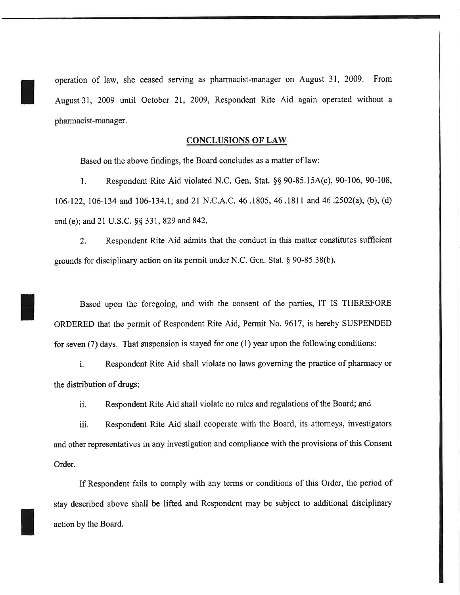opemtion of law, she ceased serving as pharmacist-manager on August 31, 2009. From August 31, 2009 until October 21, 2009, Respondent Rite Aid again operated without <sup>a</sup> pharmacist-manager.

## CONCLUSIONS OF LAW

Based on the above findings, the Board concludes as a matter of law:

l. Respondent Rite Aid violated N,C, Gen. Stat. \$\$ 90-85.154(c), 90-106, 90-108, 106-122,106-134 and 106-134,1; md 2l N,C,A.C. 4ó.1805,46.1811 and46.2502(a), (b), (d) and (e); and 21 U.S.C. §§ 331, 829 and 842.

2. Respondent Rite Aid admits that the conduct in this matter constitutes suffrcient grounds for disciplinary action on its permit under N.C. Gen. Stat, \$ 90-85,38(b).

Based upon the foregoing, and with the consent of the parties, IT IS THEREFORE ORDERED that the permit of Respondent Rite Aid, Permit No. 9617, is hereby SUSPENDED for seven (7) days. That suspension is stayed for one (1) year upon the following conditions:

i. Respondent Rite Aid shall violate no laws goveming the practice of pharmacy or the distribution of drugs;

ii. Respondent Rite Aid shall violate no rules and regulations of the Board; and

iii. Respondent Rite Aid shall cooperate with the Board, its attorneys, investigators and other representatives in any investigation and compliance with the provisions of this Consent Order.

If Respondent fails to comply with any terms or conditions of this Order, the period of stay described above shall be lifted and Respondent may be subject to additional disciplinary action by the Board.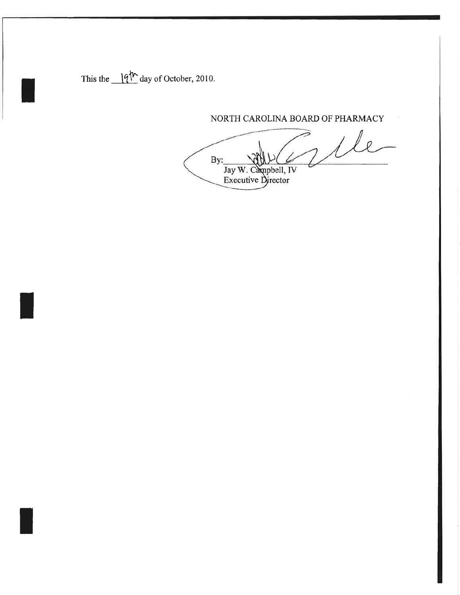This the  $\frac{1}{9}$ <sup>th</sup> day of October, 2010.

NORTH CAROLINA BOARD OF PHARMACY

We By: Jay W. Campbell, IV<br>Executive Director